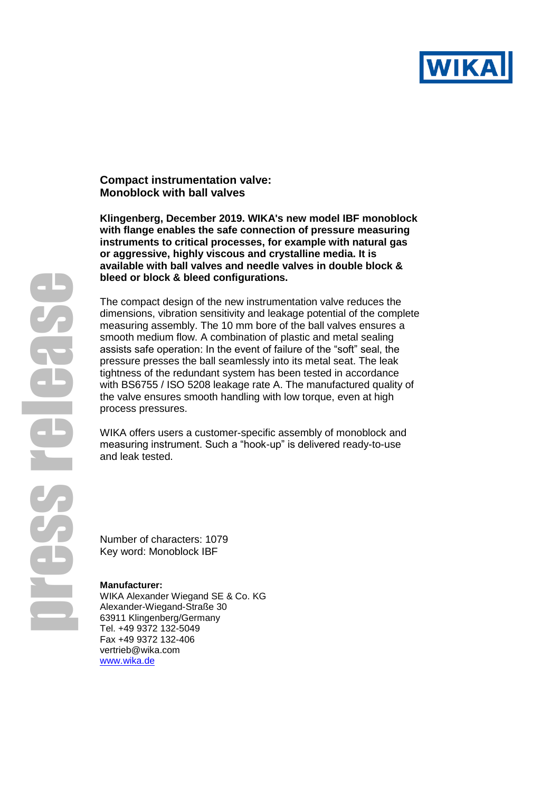

## **Compact instrumentation valve: Monoblock with ball valves**

**Klingenberg, December 2019. WIKA's new model IBF monoblock with flange enables the safe connection of pressure measuring instruments to critical processes, for example with natural gas or aggressive, highly viscous and crystalline media. It is available with ball valves and needle valves in double block & bleed or block & bleed configurations.** 

The compact design of the new instrumentation valve reduces the dimensions, vibration sensitivity and leakage potential of the complete measuring assembly. The 10 mm bore of the ball valves ensures a smooth medium flow. A combination of plastic and metal sealing assists safe operation: In the event of failure of the "soft" seal, the pressure presses the ball seamlessly into its metal seat. The leak tightness of the redundant system has been tested in accordance with BS6755 / ISO 5208 leakage rate A. The manufactured quality of the valve ensures smooth handling with low torque, even at high process pressures.

WIKA offers users a customer-specific assembly of monoblock and measuring instrument. Such a "hook-up" is delivered ready-to-use and leak tested.

Number of characters: 1079 Key word: Monoblock IBF

## **Manufacturer:**

WIKA Alexander Wiegand SE & Co. KG Alexander-Wiegand-Straße 30 63911 Klingenberg/Germany Tel. +49 9372 132-5049 Fax +49 9372 132-406 vertrieb@wika.com [www.wika.de](http://www.wika.de/)